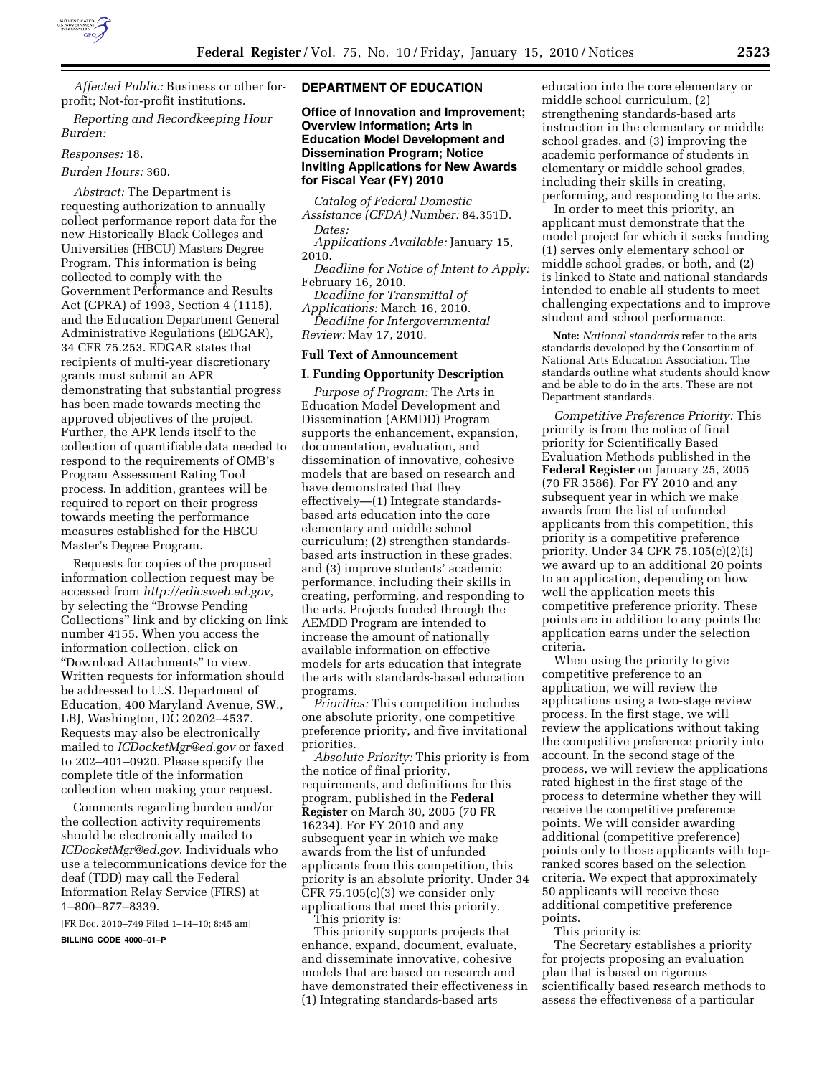

*Affected Public:* Business or other forprofit; Not-for-profit institutions.

*Reporting and Recordkeeping Hour Burden:* 

#### *Responses:* 18.

*Burden Hours:* 360.

*Abstract:* The Department is requesting authorization to annually collect performance report data for the new Historically Black Colleges and Universities (HBCU) Masters Degree Program. This information is being collected to comply with the Government Performance and Results Act (GPRA) of 1993, Section 4 (1115), and the Education Department General Administrative Regulations (EDGAR), 34 CFR 75.253. EDGAR states that recipients of multi-year discretionary grants must submit an APR demonstrating that substantial progress has been made towards meeting the approved objectives of the project. Further, the APR lends itself to the collection of quantifiable data needed to respond to the requirements of OMB's Program Assessment Rating Tool process. In addition, grantees will be required to report on their progress towards meeting the performance measures established for the HBCU Master's Degree Program.

Requests for copies of the proposed information collection request may be accessed from *http://edicsweb.ed.gov*, by selecting the ''Browse Pending Collections'' link and by clicking on link number 4155. When you access the information collection, click on ''Download Attachments'' to view. Written requests for information should be addressed to U.S. Department of Education, 400 Maryland Avenue, SW., LBJ, Washington, DC 20202–4537. Requests may also be electronically mailed to *ICDocketMgr@ed.gov* or faxed to 202–401–0920. Please specify the complete title of the information collection when making your request.

Comments regarding burden and/or the collection activity requirements should be electronically mailed to *ICDocketMgr@ed.gov*. Individuals who use a telecommunications device for the deaf (TDD) may call the Federal Information Relay Service (FIRS) at 1–800–877–8339.

[FR Doc. 2010–749 Filed 1–14–10; 8:45 am] **BILLING CODE 4000–01–P** 

#### **DEPARTMENT OF EDUCATION**

## **Office of Innovation and Improvement; Overview Information; Arts in Education Model Development and Dissemination Program; Notice Inviting Applications for New Awards for Fiscal Year (FY) 2010**

*Catalog of Federal Domestic Assistance (CFDA) Number:* 84.351D. *Dates:* 

*Applications Available:* January 15, 2010.

*Deadline for Notice of Intent to Apply:*  February 16, 2010.

*Deadline for Transmittal of Applications:* March 16, 2010. *Deadline for Intergovernmental Review:* May 17, 2010.

## **Full Text of Announcement**

## **I. Funding Opportunity Description**

*Purpose of Program:* The Arts in Education Model Development and Dissemination (AEMDD) Program supports the enhancement, expansion, documentation, evaluation, and dissemination of innovative, cohesive models that are based on research and have demonstrated that they effectively—(1) Integrate standardsbased arts education into the core elementary and middle school curriculum; (2) strengthen standardsbased arts instruction in these grades; and (3) improve students' academic performance, including their skills in creating, performing, and responding to the arts. Projects funded through the AEMDD Program are intended to increase the amount of nationally available information on effective models for arts education that integrate the arts with standards-based education programs.

*Priorities:* This competition includes one absolute priority, one competitive preference priority, and five invitational priorities.

*Absolute Priority:* This priority is from the notice of final priority, requirements, and definitions for this program, published in the **Federal Register** on March 30, 2005 (70 FR 16234). For FY 2010 and any subsequent year in which we make awards from the list of unfunded applicants from this competition, this priority is an absolute priority. Under 34 CFR 75.105(c)(3) we consider only applications that meet this priority.

This priority is: This priority supports projects that enhance, expand, document, evaluate, and disseminate innovative, cohesive models that are based on research and have demonstrated their effectiveness in (1) Integrating standards-based arts

education into the core elementary or middle school curriculum, (2) strengthening standards-based arts instruction in the elementary or middle school grades, and (3) improving the academic performance of students in elementary or middle school grades, including their skills in creating, performing, and responding to the arts.

In order to meet this priority, an applicant must demonstrate that the model project for which it seeks funding (1) serves only elementary school or middle school grades, or both, and (2) is linked to State and national standards intended to enable all students to meet challenging expectations and to improve student and school performance.

**Note:** *National standards* refer to the arts standards developed by the Consortium of National Arts Education Association. The standards outline what students should know and be able to do in the arts. These are not Department standards.

*Competitive Preference Priority:* This priority is from the notice of final priority for Scientifically Based Evaluation Methods published in the **Federal Register** on January 25, 2005 (70 FR 3586). For FY 2010 and any subsequent year in which we make awards from the list of unfunded applicants from this competition, this priority is a competitive preference priority. Under 34 CFR 75.105(c)(2)(i) we award up to an additional 20 points to an application, depending on how well the application meets this competitive preference priority. These points are in addition to any points the application earns under the selection criteria.

When using the priority to give competitive preference to an application, we will review the applications using a two-stage review process. In the first stage, we will review the applications without taking the competitive preference priority into account. In the second stage of the process, we will review the applications rated highest in the first stage of the process to determine whether they will receive the competitive preference points. We will consider awarding additional (competitive preference) points only to those applicants with topranked scores based on the selection criteria. We expect that approximately 50 applicants will receive these additional competitive preference points.

This priority is:

The Secretary establishes a priority for projects proposing an evaluation plan that is based on rigorous scientifically based research methods to assess the effectiveness of a particular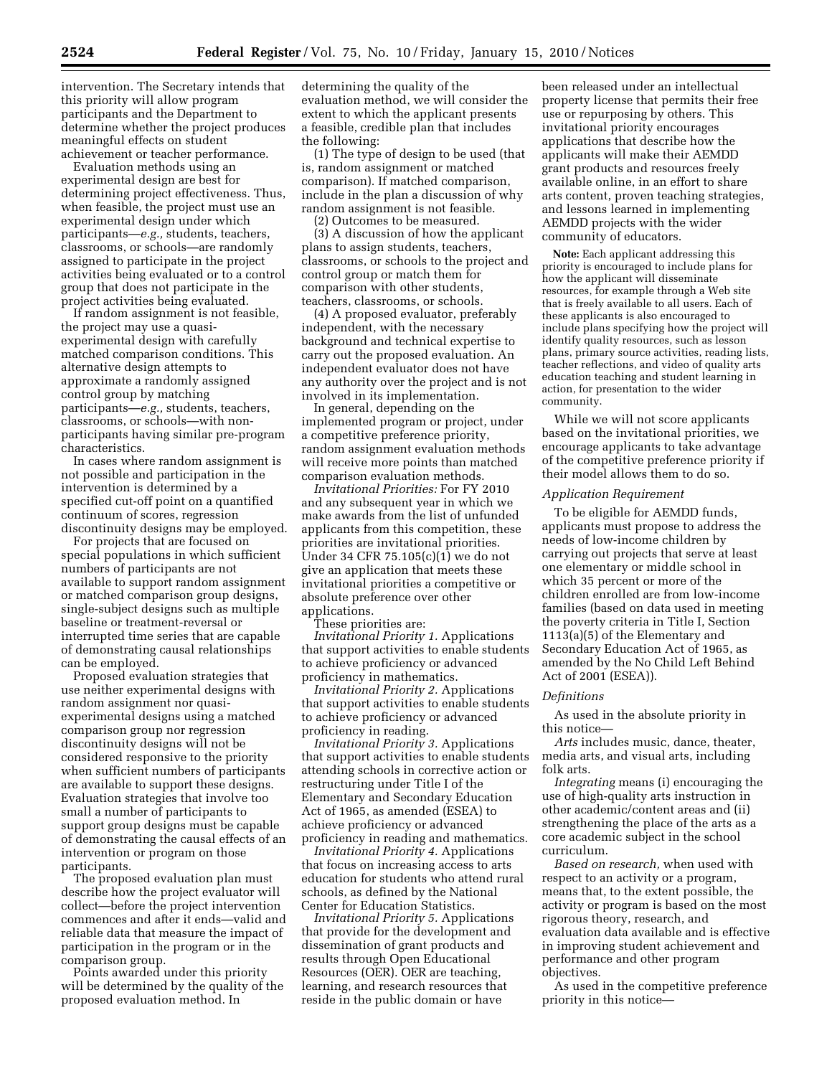intervention. The Secretary intends that this priority will allow program participants and the Department to determine whether the project produces meaningful effects on student achievement or teacher performance.

Evaluation methods using an experimental design are best for determining project effectiveness. Thus, when feasible, the project must use an experimental design under which participants—*e.g.,* students, teachers, classrooms, or schools—are randomly assigned to participate in the project activities being evaluated or to a control group that does not participate in the project activities being evaluated.

If random assignment is not feasible, the project may use a quasiexperimental design with carefully matched comparison conditions. This alternative design attempts to approximate a randomly assigned control group by matching participants—*e.g.,* students, teachers, classrooms, or schools—with nonparticipants having similar pre-program characteristics.

In cases where random assignment is not possible and participation in the intervention is determined by a specified cut-off point on a quantified continuum of scores, regression discontinuity designs may be employed.

For projects that are focused on special populations in which sufficient numbers of participants are not available to support random assignment or matched comparison group designs, single-subject designs such as multiple baseline or treatment-reversal or interrupted time series that are capable of demonstrating causal relationships can be employed.

Proposed evaluation strategies that use neither experimental designs with random assignment nor quasiexperimental designs using a matched comparison group nor regression discontinuity designs will not be considered responsive to the priority when sufficient numbers of participants are available to support these designs. Evaluation strategies that involve too small a number of participants to support group designs must be capable of demonstrating the causal effects of an intervention or program on those participants.

The proposed evaluation plan must describe how the project evaluator will collect—before the project intervention commences and after it ends—valid and reliable data that measure the impact of participation in the program or in the comparison group.

Points awarded under this priority will be determined by the quality of the proposed evaluation method. In

determining the quality of the evaluation method, we will consider the extent to which the applicant presents a feasible, credible plan that includes the following:

(1) The type of design to be used (that is, random assignment or matched comparison). If matched comparison, include in the plan a discussion of why random assignment is not feasible.

(2) Outcomes to be measured.

(3) A discussion of how the applicant plans to assign students, teachers, classrooms, or schools to the project and control group or match them for comparison with other students, teachers, classrooms, or schools.

(4) A proposed evaluator, preferably independent, with the necessary background and technical expertise to carry out the proposed evaluation. An independent evaluator does not have any authority over the project and is not involved in its implementation.

In general, depending on the implemented program or project, under a competitive preference priority, random assignment evaluation methods will receive more points than matched comparison evaluation methods.

*Invitational Priorities:* For FY 2010 and any subsequent year in which we make awards from the list of unfunded applicants from this competition, these priorities are invitational priorities. Under 34 CFR 75.105(c)(1) we do not give an application that meets these invitational priorities a competitive or absolute preference over other applications.

These priorities are:

*Invitational Priority 1.* Applications that support activities to enable students to achieve proficiency or advanced proficiency in mathematics.

*Invitational Priority 2.* Applications that support activities to enable students to achieve proficiency or advanced proficiency in reading.

*Invitational Priority 3.* Applications that support activities to enable students attending schools in corrective action or restructuring under Title I of the Elementary and Secondary Education Act of 1965, as amended (ESEA) to achieve proficiency or advanced proficiency in reading and mathematics.

*Invitational Priority 4.* Applications that focus on increasing access to arts education for students who attend rural schools, as defined by the National Center for Education Statistics.

*Invitational Priority 5.* Applications that provide for the development and dissemination of grant products and results through Open Educational Resources (OER). OER are teaching, learning, and research resources that reside in the public domain or have

been released under an intellectual property license that permits their free use or repurposing by others. This invitational priority encourages applications that describe how the applicants will make their AEMDD grant products and resources freely available online, in an effort to share arts content, proven teaching strategies, and lessons learned in implementing AEMDD projects with the wider community of educators.

**Note:** Each applicant addressing this priority is encouraged to include plans for how the applicant will disseminate resources, for example through a Web site that is freely available to all users. Each of these applicants is also encouraged to include plans specifying how the project will identify quality resources, such as lesson plans, primary source activities, reading lists, teacher reflections, and video of quality arts education teaching and student learning in action, for presentation to the wider community.

While we will not score applicants based on the invitational priorities, we encourage applicants to take advantage of the competitive preference priority if their model allows them to do so.

## *Application Requirement*

To be eligible for AEMDD funds, applicants must propose to address the needs of low-income children by carrying out projects that serve at least one elementary or middle school in which 35 percent or more of the children enrolled are from low-income families (based on data used in meeting the poverty criteria in Title I, Section 1113(a)(5) of the Elementary and Secondary Education Act of 1965, as amended by the No Child Left Behind Act of 2001 (ESEA)).

# *Definitions*

As used in the absolute priority in this notice—

*Arts* includes music, dance, theater, media arts, and visual arts, including folk arts.

*Integrating* means (i) encouraging the use of high-quality arts instruction in other academic/content areas and (ii) strengthening the place of the arts as a core academic subject in the school curriculum.

*Based on research,* when used with respect to an activity or a program, means that, to the extent possible, the activity or program is based on the most rigorous theory, research, and evaluation data available and is effective in improving student achievement and performance and other program objectives.

As used in the competitive preference priority in this notice—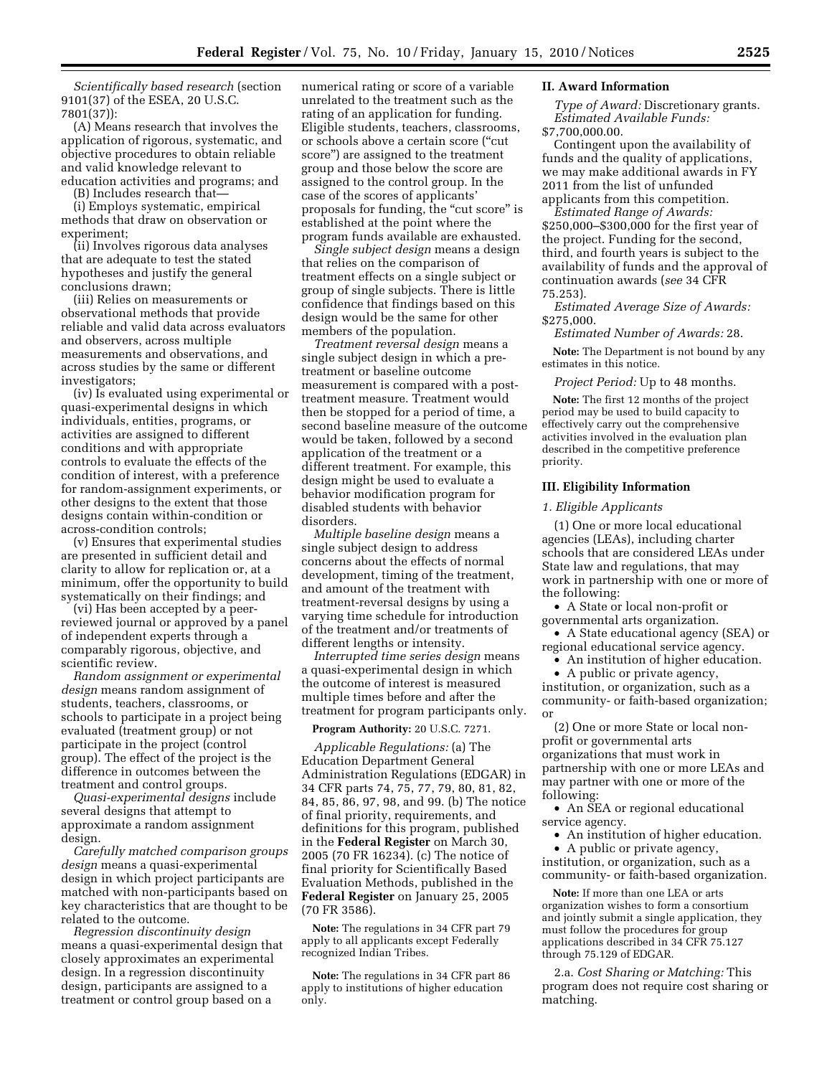*Scientifically based research* (section 9101(37) of the ESEA, 20 U.S.C. 7801(37)):

(A) Means research that involves the application of rigorous, systematic, and objective procedures to obtain reliable and valid knowledge relevant to education activities and programs; and

(B) Includes research that—

(i) Employs systematic, empirical methods that draw on observation or experiment;

(ii) Involves rigorous data analyses that are adequate to test the stated hypotheses and justify the general conclusions drawn;

(iii) Relies on measurements or observational methods that provide reliable and valid data across evaluators and observers, across multiple measurements and observations, and across studies by the same or different investigators;

(iv) Is evaluated using experimental or quasi-experimental designs in which individuals, entities, programs, or activities are assigned to different conditions and with appropriate controls to evaluate the effects of the condition of interest, with a preference for random-assignment experiments, or other designs to the extent that those designs contain within-condition or across-condition controls;

(v) Ensures that experimental studies are presented in sufficient detail and clarity to allow for replication or, at a minimum, offer the opportunity to build systematically on their findings; and

(vi) Has been accepted by a peerreviewed journal or approved by a panel of independent experts through a comparably rigorous, objective, and scientific review.

*Random assignment or experimental design* means random assignment of students, teachers, classrooms, or schools to participate in a project being evaluated (treatment group) or not participate in the project (control group). The effect of the project is the difference in outcomes between the treatment and control groups.

*Quasi-experimental designs* include several designs that attempt to approximate a random assignment design.

*Carefully matched comparison groups design* means a quasi-experimental design in which project participants are matched with non-participants based on key characteristics that are thought to be related to the outcome.

*Regression discontinuity design*  means a quasi-experimental design that closely approximates an experimental design. In a regression discontinuity design, participants are assigned to a treatment or control group based on a

numerical rating or score of a variable unrelated to the treatment such as the rating of an application for funding. Eligible students, teachers, classrooms, or schools above a certain score (''cut score'') are assigned to the treatment group and those below the score are assigned to the control group. In the case of the scores of applicants' proposals for funding, the "cut score" is established at the point where the program funds available are exhausted.

*Single subject design* means a design that relies on the comparison of treatment effects on a single subject or group of single subjects. There is little confidence that findings based on this design would be the same for other members of the population.

*Treatment reversal design* means a single subject design in which a pretreatment or baseline outcome measurement is compared with a posttreatment measure. Treatment would then be stopped for a period of time, a second baseline measure of the outcome would be taken, followed by a second application of the treatment or a different treatment. For example, this design might be used to evaluate a behavior modification program for disabled students with behavior disorders.

*Multiple baseline design* means a single subject design to address concerns about the effects of normal development, timing of the treatment, and amount of the treatment with treatment-reversal designs by using a varying time schedule for introduction of the treatment and/or treatments of different lengths or intensity.

*Interrupted time series design* means a quasi-experimental design in which the outcome of interest is measured multiple times before and after the treatment for program participants only.

## **Program Authority:** 20 U.S.C. 7271.

*Applicable Regulations:* (a) The Education Department General Administration Regulations (EDGAR) in 34 CFR parts 74, 75, 77, 79, 80, 81, 82, 84, 85, 86, 97, 98, and 99. (b) The notice of final priority, requirements, and definitions for this program, published in the **Federal Register** on March 30, 2005 (70 FR 16234). (c) The notice of final priority for Scientifically Based Evaluation Methods, published in the **Federal Register** on January 25, 2005 (70 FR 3586).

**Note:** The regulations in 34 CFR part 79 apply to all applicants except Federally recognized Indian Tribes.

**Note:** The regulations in 34 CFR part 86 apply to institutions of higher education only.

## **II. Award Information**

*Type of Award:* Discretionary grants. *Estimated Available Funds:*  \$7,700,000.00.

Contingent upon the availability of funds and the quality of applications, we may make additional awards in FY 2011 from the list of unfunded applicants from this competition.

*Estimated Range of Awards:*  \$250,000–\$300,000 for the first year of the project. Funding for the second, third, and fourth years is subject to the availability of funds and the approval of continuation awards (*see* 34 CFR 75.253).

*Estimated Average Size of Awards:*  \$275,000.

*Estimated Number of Awards:* 28.

**Note:** The Department is not bound by any estimates in this notice.

*Project Period:* Up to 48 months.

**Note:** The first 12 months of the project period may be used to build capacity to effectively carry out the comprehensive activities involved in the evaluation plan described in the competitive preference priority.

#### **III. Eligibility Information**

#### *1. Eligible Applicants*

(1) One or more local educational agencies (LEAs), including charter schools that are considered LEAs under State law and regulations, that may work in partnership with one or more of the following:

• A State or local non-profit or

governmental arts organization. • A State educational agency (SEA) or regional educational service agency.

• An institution of higher education.

• A public or private agency, institution, or organization, such as a community- or faith-based organization; or

(2) One or more State or local nonprofit or governmental arts organizations that must work in partnership with one or more LEAs and may partner with one or more of the following:

• An SEA or regional educational service agency.

• An institution of higher education.

• A public or private agency, institution, or organization, such as a community- or faith-based organization.

**Note:** If more than one LEA or arts organization wishes to form a consortium and jointly submit a single application, they must follow the procedures for group applications described in 34 CFR 75.127 through 75.129 of EDGAR.

2.a. *Cost Sharing or Matching:* This program does not require cost sharing or matching.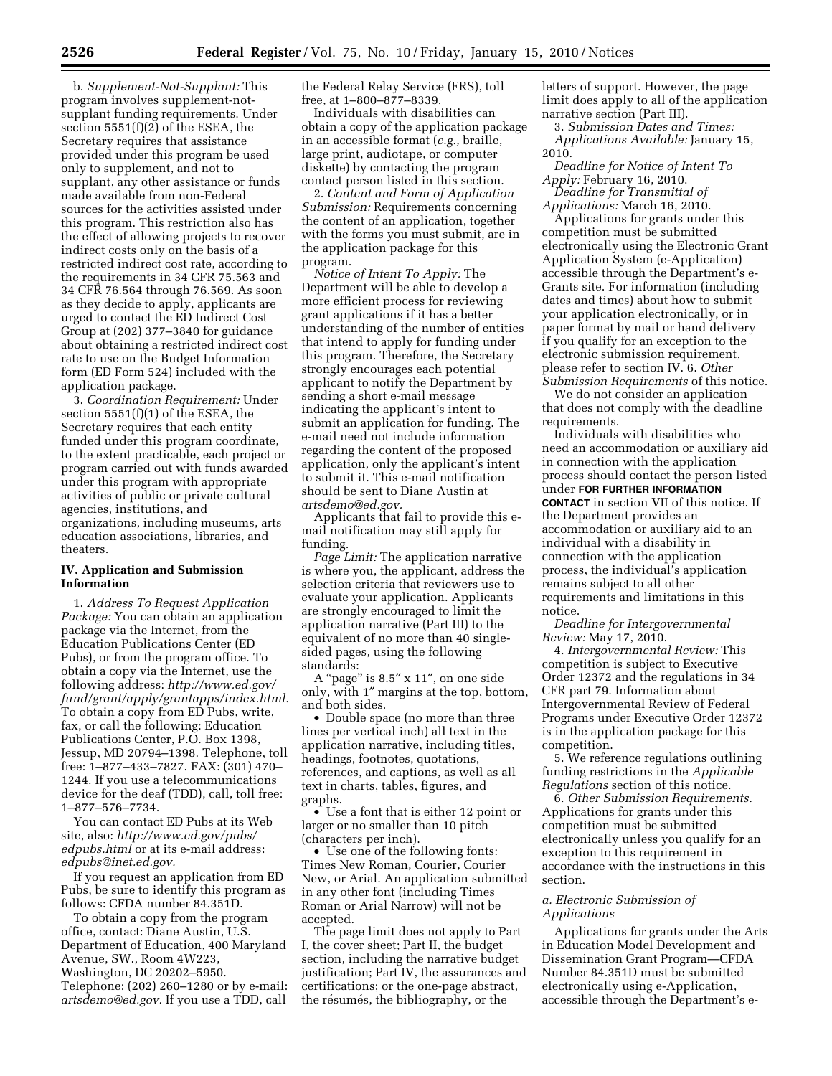b. *Supplement-Not-Supplant:* This program involves supplement-notsupplant funding requirements. Under section 5551(f)(2) of the ESEA, the Secretary requires that assistance provided under this program be used only to supplement, and not to supplant, any other assistance or funds made available from non-Federal sources for the activities assisted under this program. This restriction also has the effect of allowing projects to recover indirect costs only on the basis of a restricted indirect cost rate, according to the requirements in 34 CFR 75.563 and 34 CFR 76.564 through 76.569. As soon as they decide to apply, applicants are urged to contact the ED Indirect Cost Group at (202) 377–3840 for guidance about obtaining a restricted indirect cost rate to use on the Budget Information form (ED Form 524) included with the application package.

3. *Coordination Requirement:* Under section 5551(f)(1) of the ESEA, the Secretary requires that each entity funded under this program coordinate, to the extent practicable, each project or program carried out with funds awarded under this program with appropriate activities of public or private cultural agencies, institutions, and organizations, including museums, arts education associations, libraries, and theaters.

## **IV. Application and Submission Information**

1. *Address To Request Application Package:* You can obtain an application package via the Internet, from the Education Publications Center (ED Pubs), or from the program office. To obtain a copy via the Internet, use the following address: *http://www.ed.gov/ fund/grant/apply/grantapps/index.html.*  To obtain a copy from ED Pubs, write, fax, or call the following: Education Publications Center, P.O. Box 1398, Jessup, MD 20794–1398. Telephone, toll free: 1–877–433–7827. FAX: (301) 470– 1244. If you use a telecommunications device for the deaf (TDD), call, toll free: 1–877–576–7734.

You can contact ED Pubs at its Web site, also: *http://www.ed.gov/pubs/ edpubs.html* or at its e-mail address: *edpubs@inet.ed.gov.* 

If you request an application from ED Pubs, be sure to identify this program as follows: CFDA number 84.351D.

To obtain a copy from the program office, contact: Diane Austin, U.S. Department of Education, 400 Maryland Avenue, SW., Room 4W223, Washington, DC 20202–5950. Telephone: (202) 260–1280 or by e-mail: *artsdemo@ed.gov.* If you use a TDD, call

the Federal Relay Service (FRS), toll free, at 1–800–877–8339.

Individuals with disabilities can obtain a copy of the application package in an accessible format (*e.g.,* braille, large print, audiotape, or computer diskette) by contacting the program contact person listed in this section.

2. *Content and Form of Application Submission:* Requirements concerning the content of an application, together with the forms you must submit, are in the application package for this program.

*Notice of Intent To Apply:* The Department will be able to develop a more efficient process for reviewing grant applications if it has a better understanding of the number of entities that intend to apply for funding under this program. Therefore, the Secretary strongly encourages each potential applicant to notify the Department by sending a short e-mail message indicating the applicant's intent to submit an application for funding. The e-mail need not include information regarding the content of the proposed application, only the applicant's intent to submit it. This e-mail notification should be sent to Diane Austin at *artsdemo@ed.gov.* 

Applicants that fail to provide this email notification may still apply for funding.

*Page Limit:* The application narrative is where you, the applicant, address the selection criteria that reviewers use to evaluate your application. Applicants are strongly encouraged to limit the application narrative (Part III) to the equivalent of no more than 40 singlesided pages, using the following standards:

A ''page'' is 8.5″ x 11″, on one side only, with 1″ margins at the top, bottom, and both sides.

• Double space (no more than three lines per vertical inch) all text in the application narrative, including titles, headings, footnotes, quotations, references, and captions, as well as all text in charts, tables, figures, and graphs.

• Use a font that is either 12 point or larger or no smaller than 10 pitch (characters per inch).

• Use one of the following fonts: Times New Roman, Courier, Courier New, or Arial. An application submitted in any other font (including Times Roman or Arial Narrow) will not be accepted.

The page limit does not apply to Part I, the cover sheet; Part II, the budget section, including the narrative budget justification; Part IV, the assurances and certifications; or the one-page abstract, the résumés, the bibliography, or the

letters of support. However, the page limit does apply to all of the application narrative section (Part III).

3. *Submission Dates and Times: Applications Available:* January 15, 2010.

*Deadline for Notice of Intent To Apply:* February 16, 2010.

*Deadline for Transmittal of Applications:* March 16, 2010.

Applications for grants under this competition must be submitted electronically using the Electronic Grant Application System (e-Application) accessible through the Department's e-Grants site. For information (including dates and times) about how to submit your application electronically, or in paper format by mail or hand delivery if you qualify for an exception to the electronic submission requirement, please refer to section IV. 6. *Other Submission Requirements* of this notice.

We do not consider an application that does not comply with the deadline requirements.

Individuals with disabilities who need an accommodation or auxiliary aid in connection with the application process should contact the person listed under **FOR FURTHER INFORMATION CONTACT** in section VII of this notice. If the Department provides an accommodation or auxiliary aid to an individual with a disability in connection with the application process, the individual's application remains subject to all other requirements and limitations in this notice.

*Deadline for Intergovernmental Review:* May 17, 2010.

4. *Intergovernmental Review:* This competition is subject to Executive Order 12372 and the regulations in 34 CFR part 79. Information about Intergovernmental Review of Federal Programs under Executive Order 12372 is in the application package for this competition.

5. We reference regulations outlining funding restrictions in the *Applicable Regulations* section of this notice.

6. *Other Submission Requirements.*  Applications for grants under this competition must be submitted electronically unless you qualify for an exception to this requirement in accordance with the instructions in this section.

## *a. Electronic Submission of Applications*

Applications for grants under the Arts in Education Model Development and Dissemination Grant Program—CFDA Number 84.351D must be submitted electronically using e-Application, accessible through the Department's e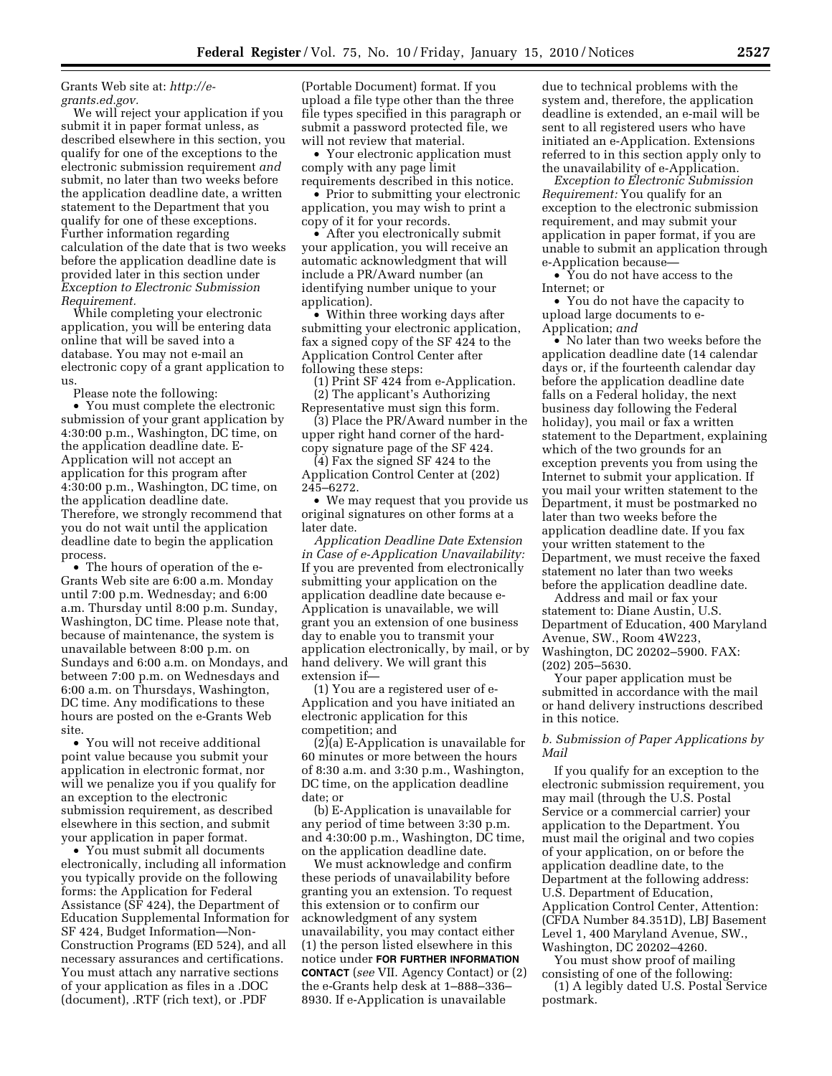Grants Web site at: *http://egrants.ed.gov.* 

We will reject your application if you submit it in paper format unless, as described elsewhere in this section, you qualify for one of the exceptions to the electronic submission requirement *and*  submit, no later than two weeks before the application deadline date, a written statement to the Department that you qualify for one of these exceptions. Further information regarding calculation of the date that is two weeks before the application deadline date is provided later in this section under *Exception to Electronic Submission Requirement.* 

While completing your electronic application, you will be entering data online that will be saved into a database. You may not e-mail an electronic copy of a grant application to us.

Please note the following:

• You must complete the electronic submission of your grant application by 4:30:00 p.m., Washington, DC time, on the application deadline date. E-Application will not accept an application for this program after 4:30:00 p.m., Washington, DC time, on the application deadline date. Therefore, we strongly recommend that you do not wait until the application deadline date to begin the application process.

• The hours of operation of the e-Grants Web site are 6:00 a.m. Monday until 7:00 p.m. Wednesday; and 6:00 a.m. Thursday until 8:00 p.m. Sunday, Washington, DC time. Please note that, because of maintenance, the system is unavailable between 8:00 p.m. on Sundays and 6:00 a.m. on Mondays, and between 7:00 p.m. on Wednesdays and 6:00 a.m. on Thursdays, Washington, DC time. Any modifications to these hours are posted on the e-Grants Web site.

• You will not receive additional point value because you submit your application in electronic format, nor will we penalize you if you qualify for an exception to the electronic submission requirement, as described elsewhere in this section, and submit your application in paper format.

• You must submit all documents electronically, including all information you typically provide on the following forms: the Application for Federal Assistance (SF 424), the Department of Education Supplemental Information for SF 424, Budget Information—Non-Construction Programs (ED 524), and all necessary assurances and certifications. You must attach any narrative sections of your application as files in a .DOC (document), .RTF (rich text), or .PDF

(Portable Document) format. If you upload a file type other than the three file types specified in this paragraph or submit a password protected file, we will not review that material.

• Your electronic application must comply with any page limit requirements described in this notice.

• Prior to submitting your electronic application, you may wish to print a copy of it for your records.

• After you electronically submit your application, you will receive an automatic acknowledgment that will include a PR/Award number (an identifying number unique to your application).

• Within three working days after submitting your electronic application, fax a signed copy of the SF 424 to the Application Control Center after following these steps:

(1) Print SF 424 from e-Application. (2) The applicant's Authorizing Representative must sign this form.

(3) Place the PR/Award number in the upper right hand corner of the hardcopy signature page of the SF 424.

(4) Fax the signed SF 424 to the Application Control Center at (202) 245–6272.

• We may request that you provide us original signatures on other forms at a later date.

*Application Deadline Date Extension in Case of e-Application Unavailability:*  If you are prevented from electronically submitting your application on the application deadline date because e-Application is unavailable, we will grant you an extension of one business day to enable you to transmit your application electronically, by mail, or by hand delivery. We will grant this extension if—

(1) You are a registered user of e-Application and you have initiated an electronic application for this competition; and

(2)(a) E-Application is unavailable for 60 minutes or more between the hours of 8:30 a.m. and 3:30 p.m., Washington, DC time, on the application deadline date; or

(b) E-Application is unavailable for any period of time between 3:30 p.m. and 4:30:00 p.m., Washington, DC time, on the application deadline date.

We must acknowledge and confirm these periods of unavailability before granting you an extension. To request this extension or to confirm our acknowledgment of any system unavailability, you may contact either (1) the person listed elsewhere in this notice under **FOR FURTHER INFORMATION CONTACT** (*see* VII. Agency Contact) or (2) the e-Grants help desk at 1–888–336– 8930. If e-Application is unavailable

due to technical problems with the system and, therefore, the application deadline is extended, an e-mail will be sent to all registered users who have initiated an e-Application. Extensions referred to in this section apply only to the unavailability of e-Application.

*Exception to Electronic Submission Requirement:* You qualify for an exception to the electronic submission requirement, and may submit your application in paper format, if you are unable to submit an application through e-Application because—

• You do not have access to the Internet; or

• You do not have the capacity to upload large documents to e-Application; *and* 

• No later than two weeks before the application deadline date (14 calendar days or, if the fourteenth calendar day before the application deadline date falls on a Federal holiday, the next business day following the Federal holiday), you mail or fax a written statement to the Department, explaining which of the two grounds for an exception prevents you from using the Internet to submit your application. If you mail your written statement to the Department, it must be postmarked no later than two weeks before the application deadline date. If you fax your written statement to the Department, we must receive the faxed statement no later than two weeks before the application deadline date.

Address and mail or fax your statement to: Diane Austin, U.S. Department of Education, 400 Maryland Avenue, SW., Room 4W223, Washington, DC 20202–5900. FAX: (202) 205–5630.

Your paper application must be submitted in accordance with the mail or hand delivery instructions described in this notice.

## *b. Submission of Paper Applications by Mail*

If you qualify for an exception to the electronic submission requirement, you may mail (through the U.S. Postal Service or a commercial carrier) your application to the Department. You must mail the original and two copies of your application, on or before the application deadline date, to the Department at the following address: U.S. Department of Education, Application Control Center, Attention: (CFDA Number 84.351D), LBJ Basement Level 1, 400 Maryland Avenue, SW., Washington, DC 20202–4260.

You must show proof of mailing consisting of one of the following: (1) A legibly dated U.S. Postal Service postmark.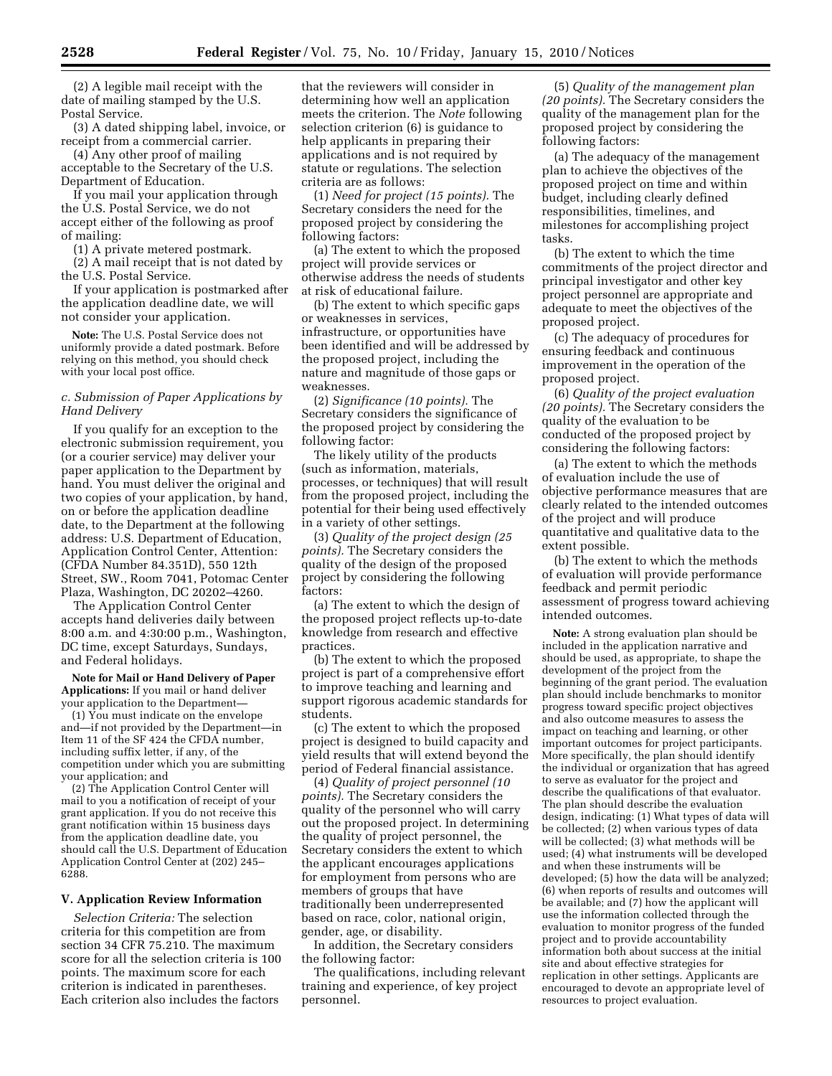(2) A legible mail receipt with the date of mailing stamped by the U.S. Postal Service.

(3) A dated shipping label, invoice, or receipt from a commercial carrier.

(4) Any other proof of mailing acceptable to the Secretary of the U.S. Department of Education.

If you mail your application through the U.S. Postal Service, we do not accept either of the following as proof of mailing:

(1) A private metered postmark.

(2) A mail receipt that is not dated by the U.S. Postal Service.

If your application is postmarked after the application deadline date, we will not consider your application.

**Note:** The U.S. Postal Service does not uniformly provide a dated postmark. Before relying on this method, you should check with your local post office.

## *c. Submission of Paper Applications by Hand Delivery*

If you qualify for an exception to the electronic submission requirement, you (or a courier service) may deliver your paper application to the Department by hand. You must deliver the original and two copies of your application, by hand, on or before the application deadline date, to the Department at the following address: U.S. Department of Education, Application Control Center, Attention: (CFDA Number 84.351D), 550 12th Street, SW., Room 7041, Potomac Center Plaza, Washington, DC 20202–4260.

The Application Control Center accepts hand deliveries daily between 8:00 a.m. and 4:30:00 p.m., Washington, DC time, except Saturdays, Sundays, and Federal holidays.

**Note for Mail or Hand Delivery of Paper Applications:** If you mail or hand deliver your application to the Department—

 $(1)$  You must indicate on the envelope and—if not provided by the Department—in Item 11 of the SF 424 the CFDA number, including suffix letter, if any, of the competition under which you are submitting your application; and

(2) The Application Control Center will mail to you a notification of receipt of your grant application. If you do not receive this grant notification within 15 business days from the application deadline date, you should call the U.S. Department of Education Application Control Center at (202) 245– 6288.

#### **V. Application Review Information**

*Selection Criteria:* The selection criteria for this competition are from section 34 CFR 75.210. The maximum score for all the selection criteria is 100 points. The maximum score for each criterion is indicated in parentheses. Each criterion also includes the factors

that the reviewers will consider in determining how well an application meets the criterion. The *Note* following selection criterion (6) is guidance to help applicants in preparing their applications and is not required by statute or regulations. The selection criteria are as follows:

(1) *Need for project (15 points).* The Secretary considers the need for the proposed project by considering the following factors:

(a) The extent to which the proposed project will provide services or otherwise address the needs of students at risk of educational failure.

(b) The extent to which specific gaps or weaknesses in services, infrastructure, or opportunities have been identified and will be addressed by the proposed project, including the nature and magnitude of those gaps or weaknesses.

(2) *Significance (10 points).* The Secretary considers the significance of the proposed project by considering the following factor:

The likely utility of the products (such as information, materials, processes, or techniques) that will result from the proposed project, including the potential for their being used effectively in a variety of other settings.

(3) *Quality of the project design (25 points).* The Secretary considers the quality of the design of the proposed project by considering the following factors:

(a) The extent to which the design of the proposed project reflects up-to-date knowledge from research and effective practices.

(b) The extent to which the proposed project is part of a comprehensive effort to improve teaching and learning and support rigorous academic standards for students.

(c) The extent to which the proposed project is designed to build capacity and yield results that will extend beyond the period of Federal financial assistance.

(4) *Quality of project personnel (10 points).* The Secretary considers the quality of the personnel who will carry out the proposed project. In determining the quality of project personnel, the Secretary considers the extent to which the applicant encourages applications for employment from persons who are members of groups that have traditionally been underrepresented based on race, color, national origin, gender, age, or disability.

In addition, the Secretary considers the following factor:

The qualifications, including relevant training and experience, of key project personnel.

(5) *Quality of the management plan (20 points).* The Secretary considers the quality of the management plan for the proposed project by considering the following factors:

(a) The adequacy of the management plan to achieve the objectives of the proposed project on time and within budget, including clearly defined responsibilities, timelines, and milestones for accomplishing project tasks.

(b) The extent to which the time commitments of the project director and principal investigator and other key project personnel are appropriate and adequate to meet the objectives of the proposed project.

(c) The adequacy of procedures for ensuring feedback and continuous improvement in the operation of the proposed project.

(6) *Quality of the project evaluation (20 points).* The Secretary considers the quality of the evaluation to be conducted of the proposed project by considering the following factors:

(a) The extent to which the methods of evaluation include the use of objective performance measures that are clearly related to the intended outcomes of the project and will produce quantitative and qualitative data to the extent possible.

(b) The extent to which the methods of evaluation will provide performance feedback and permit periodic assessment of progress toward achieving intended outcomes.

**Note:** A strong evaluation plan should be included in the application narrative and should be used, as appropriate, to shape the development of the project from the beginning of the grant period. The evaluation plan should include benchmarks to monitor progress toward specific project objectives and also outcome measures to assess the impact on teaching and learning, or other important outcomes for project participants. More specifically, the plan should identify the individual or organization that has agreed to serve as evaluator for the project and describe the qualifications of that evaluator. The plan should describe the evaluation design, indicating: (1) What types of data will be collected; (2) when various types of data will be collected; (3) what methods will be used; (4) what instruments will be developed and when these instruments will be developed; (5) how the data will be analyzed; (6) when reports of results and outcomes will be available; and (7) how the applicant will use the information collected through the evaluation to monitor progress of the funded project and to provide accountability information both about success at the initial site and about effective strategies for replication in other settings. Applicants are encouraged to devote an appropriate level of resources to project evaluation.